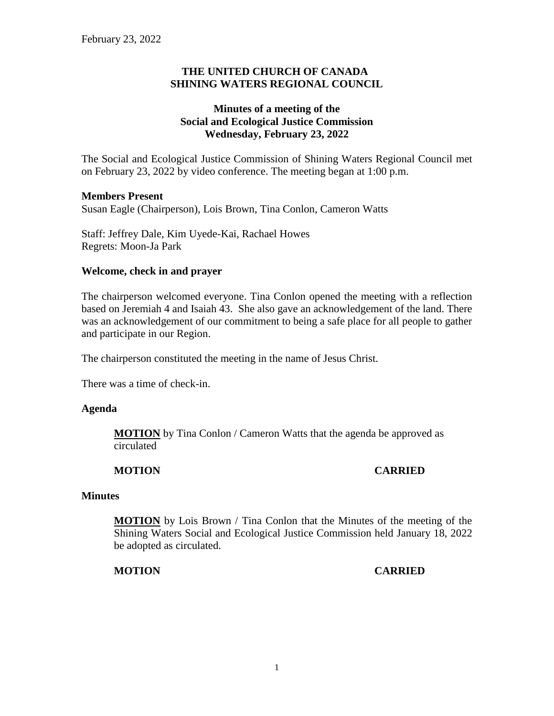## **THE UNITED CHURCH OF CANADA SHINING WATERS REGIONAL COUNCIL**

## **Minutes of a meeting of the Social and Ecological Justice Commission Wednesday, February 23, 2022**

The Social and Ecological Justice Commission of Shining Waters Regional Council met on February 23, 2022 by video conference. The meeting began at 1:00 p.m.

#### **Members Present**

Susan Eagle (Chairperson), Lois Brown, Tina Conlon, Cameron Watts

Staff: Jeffrey Dale, Kim Uyede-Kai, Rachael Howes Regrets: Moon-Ja Park

#### **Welcome, check in and prayer**

The chairperson welcomed everyone. Tina Conlon opened the meeting with a reflection based on Jeremiah 4 and Isaiah 43. She also gave an acknowledgement of the land. There was an acknowledgement of our commitment to being a safe place for all people to gather and participate in our Region.

The chairperson constituted the meeting in the name of Jesus Christ.

There was a time of check-in.

#### **Agenda**

**MOTION** by Tina Conlon / Cameron Watts that the agenda be approved as circulated

## **MOTION CARRIED**

#### **Minutes**

**MOTION** by Lois Brown / Tina Conlon that the Minutes of the meeting of the Shining Waters Social and Ecological Justice Commission held January 18, 2022 be adopted as circulated.

## **MOTION CARRIED**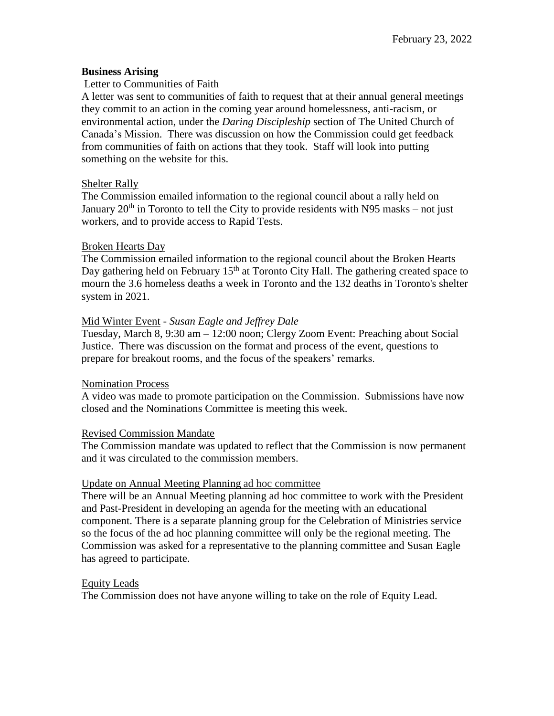## **Business Arising**

## Letter to Communities of Faith

A letter was sent to communities of faith to request that at their annual general meetings they commit to an action in the coming year around homelessness, anti-racism, or environmental action, under the *Daring Discipleship* section of The United Church of Canada's Mission. There was discussion on how the Commission could get feedback from communities of faith on actions that they took. Staff will look into putting something on the website for this.

## Shelter Rally

The Commission emailed information to the regional council about a rally held on January  $20<sup>th</sup>$  in Toronto to tell the City to provide residents with N95 masks – not just workers, and to provide access to Rapid Tests.

## Broken Hearts Day

The Commission emailed information to the regional council about the Broken Hearts Day gathering held on February  $15<sup>th</sup>$  at Toronto City Hall. The gathering created space to mourn the 3.6 homeless deaths a week in Toronto and the 132 deaths in Toronto's shelter system in 2021.

## Mid Winter Event - *Susan Eagle and Jeffrey Dale*

Tuesday, March 8, 9:30 am – 12:00 noon; Clergy Zoom Event: Preaching about Social Justice. There was discussion on the format and process of the event, questions to prepare for breakout rooms, and the focus of the speakers' remarks.

## Nomination Process

A video was made to promote participation on the Commission. Submissions have now closed and the Nominations Committee is meeting this week.

## Revised Commission Mandate

The Commission mandate was updated to reflect that the Commission is now permanent and it was circulated to the commission members.

## Update on Annual Meeting Planning ad hoc committee

There will be an Annual Meeting planning ad hoc committee to work with the President and Past-President in developing an agenda for the meeting with an educational component. There is a separate planning group for the Celebration of Ministries service so the focus of the ad hoc planning committee will only be the regional meeting. The Commission was asked for a representative to the planning committee and Susan Eagle has agreed to participate.

# Equity Leads

The Commission does not have anyone willing to take on the role of Equity Lead.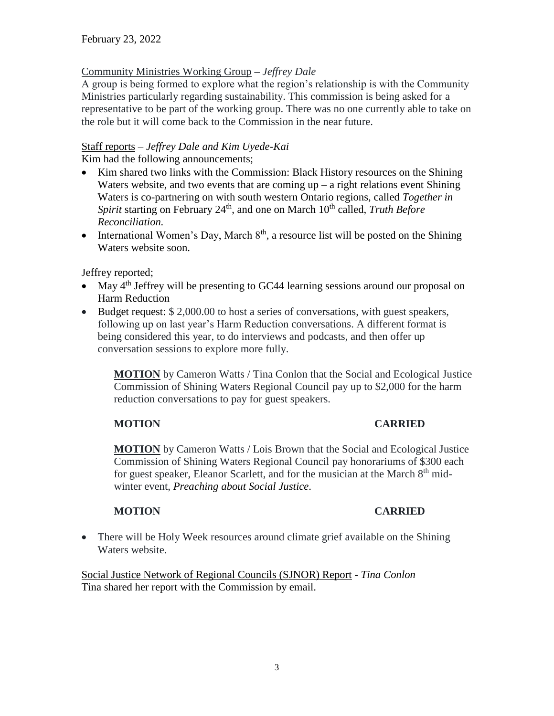## Community Ministries Working Group *– Jeffrey Dale*

A group is being formed to explore what the region's relationship is with the Community Ministries particularly regarding sustainability. This commission is being asked for a representative to be part of the working group. There was no one currently able to take on the role but it will come back to the Commission in the near future.

## Staff reports – *Jeffrey Dale and Kim Uyede-Kai*

Kim had the following announcements;

- Kim shared two links with the Commission: Black History resources on the Shining Waters website, and two events that are coming  $up - a$  right relations event Shining Waters is co-partnering on with south western Ontario regions, called *Together in*  Spirit starting on February 24<sup>th</sup>, and one on March 10<sup>th</sup> called, *Truth Before Reconciliation.*
- International Women's Day, March  $8<sup>th</sup>$ , a resource list will be posted on the Shining Waters website soon.

Jeffrey reported;

- May  $4<sup>th</sup>$  Jeffrey will be presenting to GC44 learning sessions around our proposal on Harm Reduction
- Budget request: \$ 2,000.00 to host a series of conversations, with guest speakers, following up on last year's Harm Reduction conversations. A different format is being considered this year, to do interviews and podcasts, and then offer up conversation sessions to explore more fully.

**MOTION** by Cameron Watts / Tina Conlon that the Social and Ecological Justice Commission of Shining Waters Regional Council pay up to \$2,000 for the harm reduction conversations to pay for guest speakers.

# **MOTION CARRIED**

**MOTION** by Cameron Watts / Lois Brown that the Social and Ecological Justice Commission of Shining Waters Regional Council pay honorariums of \$300 each for guest speaker, Eleanor Scarlett, and for the musician at the March  $8<sup>th</sup>$  midwinter event, *Preaching about Social Justice*.

# **MOTION CARRIED**

• There will be Holy Week resources around climate grief available on the Shining Waters website.

Social Justice Network of Regional Councils (SJNOR) Report - *Tina Conlon* Tina shared her report with the Commission by email.